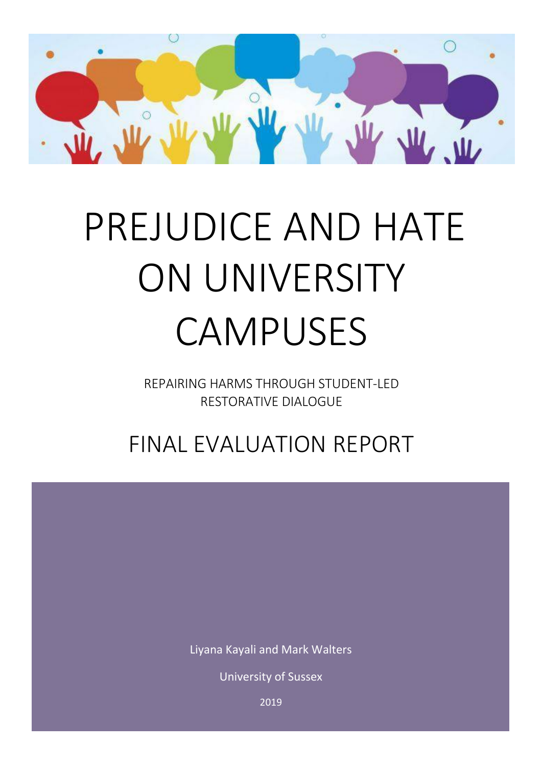

# PREJUDICE AND HATE ON UNIVERSITY CAMPUSES

REPAIRING HARMS THROUGH STUDENT-LED RESTORATIVE DIALOGUE

FINAL EVALUATION REPORT

Liyana Kayali and Mark Walters

University of Sussex

2019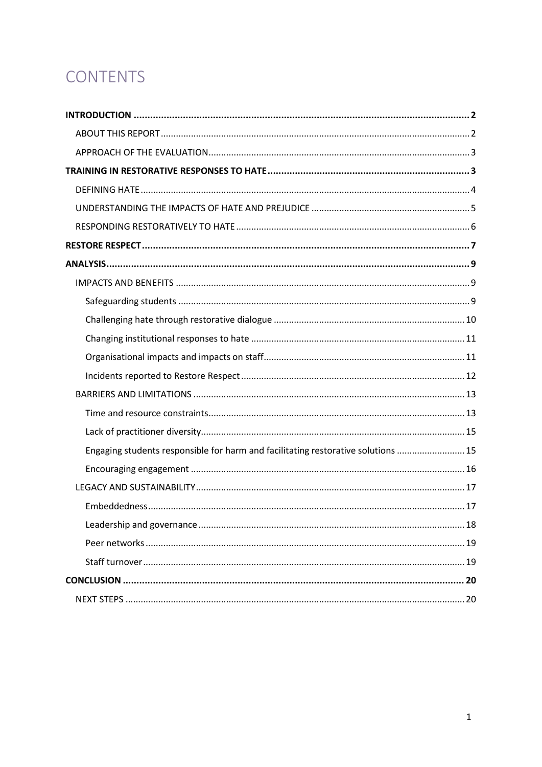# CONTENTS

| Engaging students responsible for harm and facilitating restorative solutions  15 |
|-----------------------------------------------------------------------------------|
|                                                                                   |
|                                                                                   |
|                                                                                   |
|                                                                                   |
|                                                                                   |
|                                                                                   |
|                                                                                   |
|                                                                                   |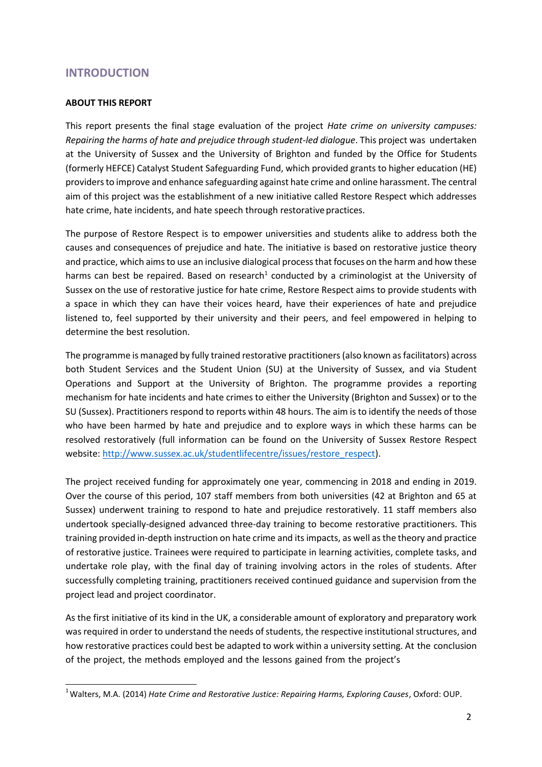## <span id="page-2-0"></span>**INTRODUCTION**

#### <span id="page-2-1"></span>**ABOUT THIS REPORT**

This report presents the final stage evaluation of the project *Hate crime on university campuses: Repairing the harms of hate and prejudice through student-led dialogue*. This project was undertaken at the University of Sussex and the University of Brighton and funded by the Office for Students (formerly HEFCE) Catalyst Student Safeguarding Fund, which provided grants to higher education (HE) providers to improve and enhance safeguarding against hate crime and online harassment. The central aim of this project was the establishment of a new initiative called Restore Respect which addresses hate crime, hate incidents, and hate speech through restorative practices.

The purpose of Restore Respect is to empower universities and students alike to address both the causes and consequences of prejudice and hate. The initiative is based on restorative justice theory and practice, which aims to use an inclusive dialogical process that focuses on the harm and how these harms can best be repaired. Based on research<sup>1</sup> conducted by a criminologist at the University of Sussex on the use of restorative justice for hate crime, Restore Respect aims to provide students with a space in which they can have their voices heard, have their experiences of hate and prejudice listened to, feel supported by their university and their peers, and feel empowered in helping to determine the best resolution.

The programme is managed by fully trained restorative practitioners (also known as facilitators) across both Student Services and the Student Union (SU) at the University of Sussex, and via Student Operations and Support at the University of Brighton. The programme provides a reporting mechanism for hate incidents and hate crimes to either the University (Brighton and Sussex) or to the SU (Sussex). Practitioners respond to reports within 48 hours. The aim is to identify the needs of those who have been harmed by hate and prejudice and to explore ways in which these harms can be resolved restoratively (full information can be found on the University of Sussex Restore Respect website: [http://www.sussex.ac.uk/studentlifecentre/issues/restore\\_respect\)](http://www.sussex.ac.uk/studentlifecentre/issues/restore_respect).

The project received funding for approximately one year, commencing in 2018 and ending in 2019. Over the course of this period, 107 staff members from both universities (42 at Brighton and 65 at Sussex) underwent training to respond to hate and prejudice restoratively. 11 staff members also undertook specially-designed advanced three-day training to become restorative practitioners. This training provided in-depth instruction on hate crime and its impacts, as well as the theory and practice of restorative justice. Trainees were required to participate in learning activities, complete tasks, and undertake role play, with the final day of training involving actors in the roles of students. After successfully completing training, practitioners received continued guidance and supervision from the project lead and project coordinator.

As the first initiative of its kind in the UK, a considerable amount of exploratory and preparatory work was required in order to understand the needs of students, the respective institutional structures, and how restorative practices could best be adapted to work within a university setting. At the conclusion of the project, the methods employed and the lessons gained from the project's

<sup>&</sup>lt;sup>1</sup> Walters, M.A. (2014) *Hate Crime and Restorative Justice: Repairing Harms, Exploring Causes, Oxford: OUP.*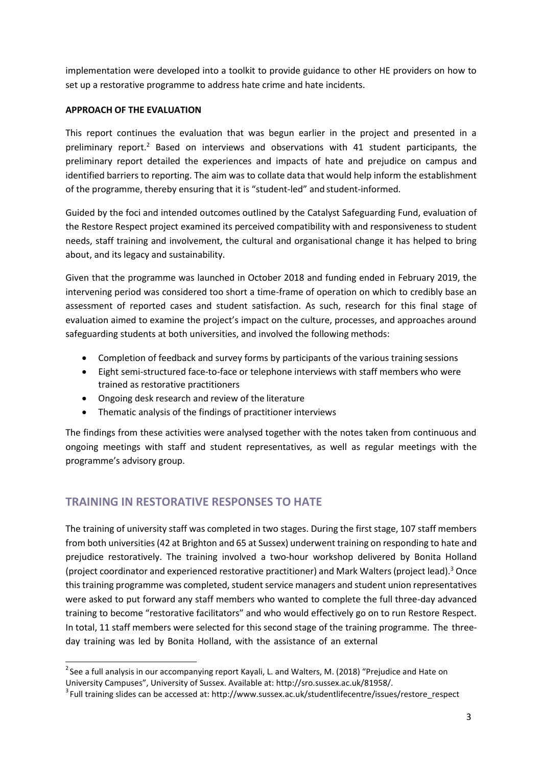implementation were developed into a toolkit to provide guidance to other HE providers on how to set up a restorative programme to address hate crime and hate incidents.

#### <span id="page-3-0"></span>**APPROACH OF THE EVALUATION**

This report continues the evaluation that was begun earlier in the project and presented in a preliminary report.<sup>2</sup> Based on interviews and observations with 41 student participants, the preliminary report detailed the experiences and impacts of hate and prejudice on campus and identified barriers to reporting. The aim was to collate data that would help inform the establishment of the programme, thereby ensuring that it is "student-led" and student-informed.

Guided by the foci and intended outcomes outlined by the Catalyst Safeguarding Fund, evaluation of the Restore Respect project examined its perceived compatibility with and responsiveness to student needs, staff training and involvement, the cultural and organisational change it has helped to bring about, and its legacy and sustainability.

Given that the programme was launched in October 2018 and funding ended in February 2019, the intervening period was considered too short a time-frame of operation on which to credibly base an assessment of reported cases and student satisfaction. As such, research for this final stage of evaluation aimed to examine the project's impact on the culture, processes, and approaches around safeguarding students at both universities, and involved the following methods:

- Completion of feedback and survey forms by participants of the various training sessions
- Eight semi-structured face-to-face or telephone interviews with staff members who were trained as restorative practitioners
- Ongoing desk research and review of the literature
- Thematic analysis of the findings of practitioner interviews

The findings from these activities were analysed together with the notes taken from continuous and ongoing meetings with staff and student representatives, as well as regular meetings with the programme's advisory group.

# <span id="page-3-1"></span>**TRAINING IN RESTORATIVE RESPONSES TO HATE**

The training of university staff was completed in two stages. During the first stage, 107 staff members from both universities (42 at Brighton and 65 at Sussex) underwent training on responding to hate and prejudice restoratively. The training involved a two-hour workshop delivered by Bonita Holland (project coordinator and experienced restorative practitioner) and Mark Walters (project lead).<sup>3</sup> Once this training programme was completed, student service managers and student union representatives were asked to put forward any staff members who wanted to complete the full three-day advanced training to become "restorative facilitators" and who would effectively go on to run Restore Respect. In total, 11 staff members were selected for this second stage of the training programme. The threeday training was led by Bonita Holland, with the assistance of an external

 $2$ See a full analysis in our accompanying report Kayali, L. and Walters, M. (2018) "Prejudice and Hate on University Campuses", University of Sussex. Available at: [http://sro.sussex.ac.uk/81958/.](http://sro.sussex.ac.uk/81958/)

 $3$  Full training slides can be accessed at[: http://www.sussex.ac.uk/studentlifecentre/issues/restore\\_respect](http://www.sussex.ac.uk/studentlifecentre/issues/restore_respect)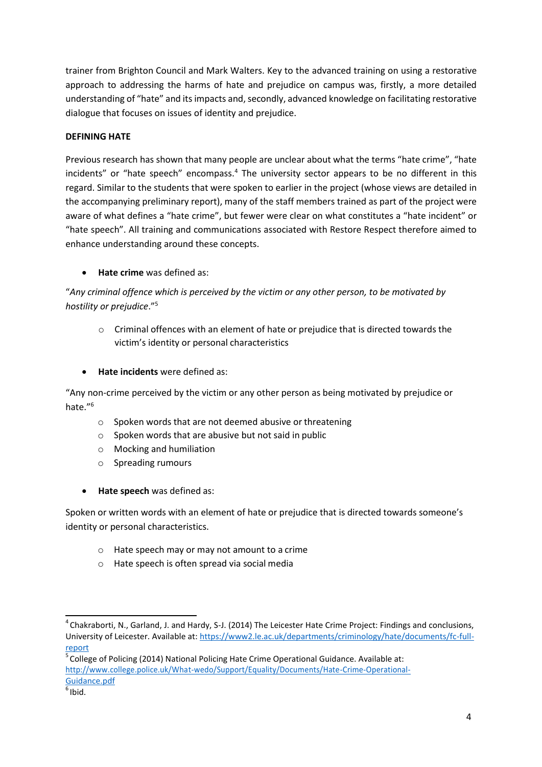trainer from Brighton Council and Mark Walters. Key to the advanced training on using a restorative approach to addressing the harms of hate and prejudice on campus was, firstly, a more detailed understanding of "hate" and its impacts and, secondly, advanced knowledge on facilitating restorative dialogue that focuses on issues of identity and prejudice.

#### <span id="page-4-0"></span>**DEFINING HATE**

Previous research has shown that many people are unclear about what the terms "hate crime", "hate incidents" or "hate speech" encompass.<sup>4</sup> The university sector appears to be no different in this regard. Similar to the students that were spoken to earlier in the project (whose views are detailed in the accompanying preliminary report), many of the staff members trained as part of the project were aware of what defines a "hate crime", but fewer were clear on what constitutes a "hate incident" or "hate speech". All training and communications associated with Restore Respect therefore aimed to enhance understanding around these concepts.

**Hate crime** was defined as:

"*Any criminal offence which is perceived by the victim or any other person, to be motivated by hostility or prejudice*."<sup>5</sup>

- o Criminal offences with an element of hate or prejudice that is directed towards the victim's identity or personal characteristics
- **Hate incidents** were defined as:

"Any non-crime perceived by the victim or any other person as being motivated by prejudice or hate."<sup>6</sup>

- o Spoken words that are not deemed abusive or threatening
- o Spoken words that are abusive but not said in public
- o Mocking and humiliation
- o Spreading rumours
- **Hate speech** was defined as:

Spoken or written words with an element of hate or prejudice that is directed towards someone's identity or personal characteristics.

- o Hate speech may or may not amount to a crime
- o Hate speech is often spread via social media

 $5$  College of Policing (2014) National Policing Hate Crime Operational Guidance. Available at: [http://www.college.police.uk/What-wedo/Support/Equality/Documents/Hate-Crime-Operational-](http://www.college.police.uk/What-wedo/Support/Equality/Documents/Hate-Crime-Operational-Guidance.pdf)[Guidance.pdf](http://www.college.police.uk/What-wedo/Support/Equality/Documents/Hate-Crime-Operational-Guidance.pdf)

<sup>4</sup>Chakraborti, N., Garland, J. and Hardy, S-J. (2014) The Leicester Hate Crime Project: Findings and conclusions, University of Leicester. Available at[: https://www2.le.ac.uk/departments/criminology/hate/documents/fc-full](https://www2.le.ac.uk/departments/criminology/hate/documents/fc-full-report)[report](https://www2.le.ac.uk/departments/criminology/hate/documents/fc-full-report)

 $<sup>6</sup>$ Ibid.</sup>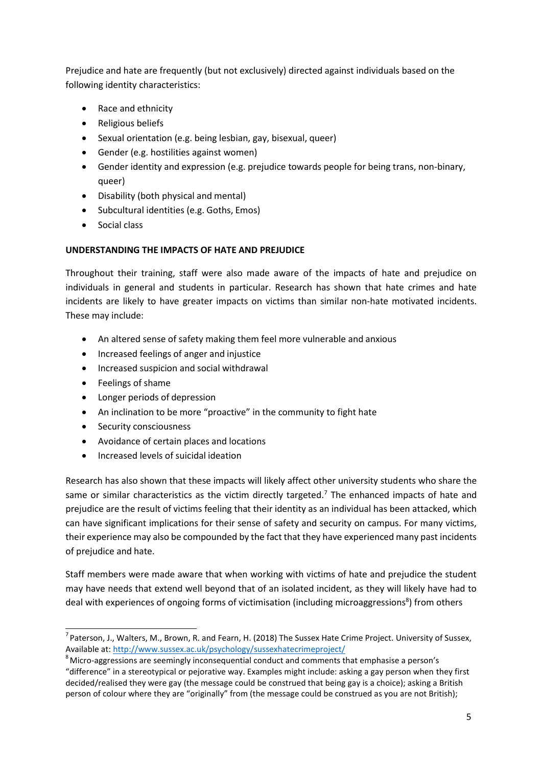Prejudice and hate are frequently (but not exclusively) directed against individuals based on the following identity characteristics:

- Race and ethnicity
- Religious beliefs
- Sexual orientation (e.g. being lesbian, gay, bisexual, queer)
- Gender (e.g. hostilities against women)
- Gender identity and expression (e.g. prejudice towards people for being trans, non-binary, queer)
- Disability (both physical and mental)
- Subcultural identities (e.g. Goths, Emos)
- Social class

## <span id="page-5-0"></span>**UNDERSTANDING THE IMPACTS OF HATE AND PREJUDICE**

Throughout their training, staff were also made aware of the impacts of hate and prejudice on individuals in general and students in particular. Research has shown that hate crimes and hate incidents are likely to have greater impacts on victims than similar non-hate motivated incidents. These may include:

- An altered sense of safety making them feel more vulnerable and anxious
- Increased feelings of anger and injustice
- Increased suspicion and social withdrawal
- Feelings of shame
- Longer periods of depression
- An inclination to be more "proactive" in the community to fight hate
- Security consciousness
- Avoidance of certain places and locations
- Increased levels of suicidal ideation

Research has also shown that these impacts will likely affect other university students who share the same or similar characteristics as the victim directly targeted.<sup>7</sup> The enhanced impacts of hate and prejudice are the result of victims feeling that their identity as an individual has been attacked, which can have significant implications for their sense of safety and security on campus. For many victims, their experience may also be compounded by the fact that they have experienced many past incidents of prejudice and hate.

Staff members were made aware that when working with victims of hate and prejudice the student may have needs that extend well beyond that of an isolated incident, as they will likely have had to deal with experiences of ongoing forms of victimisation (including microaggressions<sup>8</sup>) from others

 $^7$  Paterson, J., Walters, M., Brown, R. and Fearn, H. (2018) The Sussex Hate Crime Project. University of Sussex, Available at:<http://www.sussex.ac.uk/psychology/sussexhatecrimeproject/>

<sup>&</sup>lt;sup>8</sup> Micro-aggressions are seemingly inconsequential conduct and comments that emphasise a person's "difference" in a stereotypical or pejorative way. Examples might include: asking a gay person when they first decided/realised they were gay (the message could be construed that being gay is a choice); asking a British person of colour where they are "originally" from (the message could be construed as you are not British);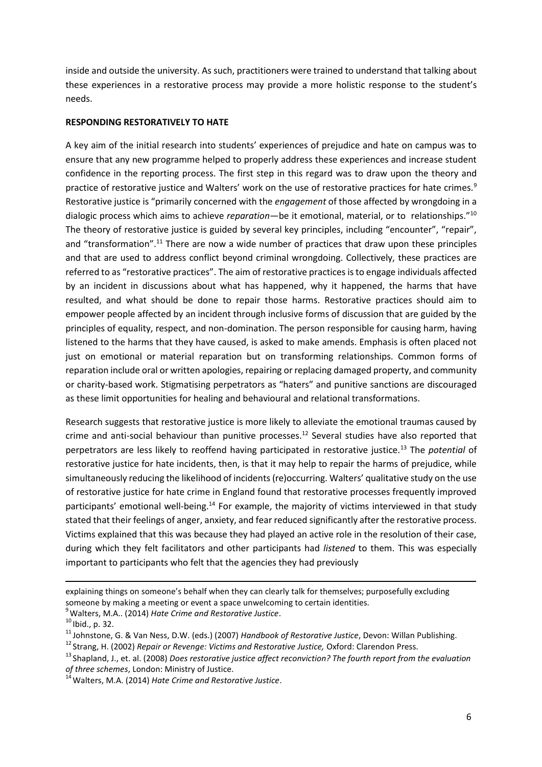inside and outside the university. As such, practitioners were trained to understand that talking about these experiences in a restorative process may provide a more holistic response to the student's needs.

#### <span id="page-6-0"></span>**RESPONDING RESTORATIVELY TO HATE**

A key aim of the initial research into students' experiences of prejudice and hate on campus was to ensure that any new programme helped to properly address these experiences and increase student confidence in the reporting process. The first step in this regard was to draw upon the theory and practice of restorative justice and Walters' work on the use of restorative practices for hate crimes.<sup>9</sup> Restorative justice is "primarily concerned with the *engagement* of those affected by wrongdoing in a dialogic process which aims to achieve *reparation*—be it emotional, material, or to relationships."<sup>10</sup> The theory of restorative justice is guided by several key principles, including "encounter", "repair", and "transformation".<sup>11</sup> There are now a wide number of practices that draw upon these principles and that are used to address conflict beyond criminal wrongdoing. Collectively, these practices are referred to as "restorative practices". The aim of restorative practices is to engage individuals affected by an incident in discussions about what has happened, why it happened, the harms that have resulted, and what should be done to repair those harms. Restorative practices should aim to empower people affected by an incident through inclusive forms of discussion that are guided by the principles of equality, respect, and non-domination. The person responsible for causing harm, having listened to the harms that they have caused, is asked to make amends. Emphasis is often placed not just on emotional or material reparation but on transforming relationships. Common forms of reparation include oral or written apologies, repairing or replacing damaged property, and community or charity-based work. Stigmatising perpetrators as "haters" and punitive sanctions are discouraged as these limit opportunities for healing and behavioural and relational transformations.

Research suggests that restorative justice is more likely to alleviate the emotional traumas caused by crime and anti-social behaviour than punitive processes.<sup>12</sup> Several studies have also reported that perpetrators are less likely to reoffend having participated in restorative justice.<sup>13</sup> The *potential* of restorative justice for hate incidents, then, is that it may help to repair the harms of prejudice, while simultaneously reducing the likelihood of incidents (re)occurring. Walters' qualitative study on the use of restorative justice for hate crime in England found that restorative processes frequently improved participants' emotional well-being.<sup>14</sup> For example, the majority of victims interviewed in that study stated that their feelings of anger, anxiety, and fear reduced significantly after the restorative process. Victims explained that this was because they had played an active role in the resolution of their case, during which they felt facilitators and other participants had *listened* to them. This was especially important to participants who felt that the agencies they had previously

explaining things on someone's behalf when they can clearly talk for themselves; purposefully excluding someone by making a meeting or event a space unwelcoming to certain identities.

<sup>9</sup>Walters, M.A.. (2014) *Hate Crime and Restorative Justice*.

 $10$  Ibid., p. 32.

<sup>&</sup>lt;sup>11</sup> Johnstone, G. & Van Ness, D.W. (eds.) (2007) *Handbook of Restorative Justice*, Devon: Willan Publishing.

<sup>&</sup>lt;sup>12</sup> Strang, H. (2002) *Repair or Revenge: Victims and Restorative Justice, Oxford: Clarendon Press.* 

<sup>&</sup>lt;sup>13</sup> Shapland, J., et. al. (2008) *Does restorative justice affect reconviction? The fourth report from the evaluation of three schemes*, London: Ministry of Justice.

<sup>&</sup>lt;sup>14</sup> Walters, M.A. (2014) *Hate Crime and Restorative Justice*.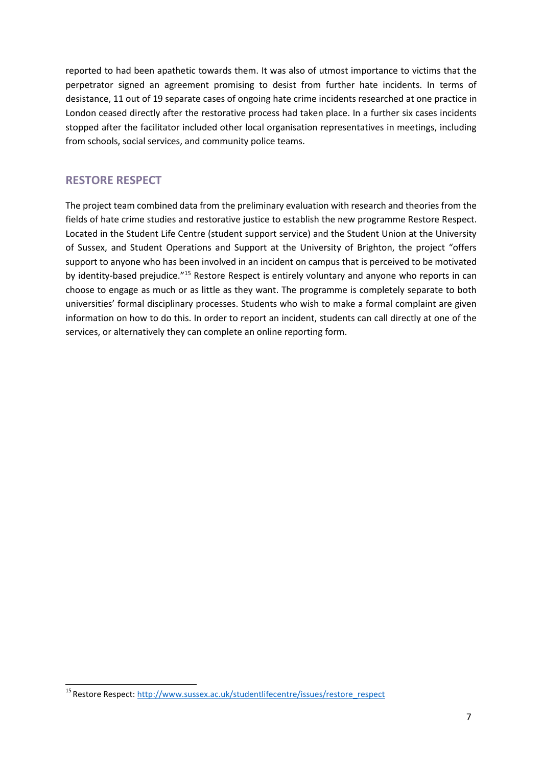reported to had been apathetic towards them. It was also of utmost importance to victims that the perpetrator signed an agreement promising to desist from further hate incidents. In terms of desistance, 11 out of 19 separate cases of ongoing hate crime incidents researched at one practice in London ceased directly after the restorative process had taken place. In a further six cases incidents stopped after the facilitator included other local organisation representatives in meetings, including from schools, social services, and community police teams.

# <span id="page-7-0"></span>**RESTORE RESPECT**

The project team combined data from the preliminary evaluation with research and theories from the fields of hate crime studies and restorative justice to establish the new programme Restore Respect. Located in the Student Life Centre (student support service) and the Student Union at the University of Sussex, and Student Operations and Support at the University of Brighton, the project "offers support to anyone who has been involved in an incident on campus that is perceived to be motivated by identity-based prejudice."<sup>15</sup> Restore Respect is entirely voluntary and anyone who reports in can choose to engage as much or as little as they want. The programme is completely separate to both universities' formal disciplinary processes. Students who wish to make a formal complaint are given information on how to do this. In order to report an incident, students can call directly at one of the services, or alternatively they can complete an online reporting form.

<sup>&</sup>lt;sup>15</sup> Restore Respect: [http://www.sussex.ac.uk/studentlifecentre/issues/restore\\_respect](http://www.sussex.ac.uk/studentlifecentre/issues/restore_respect)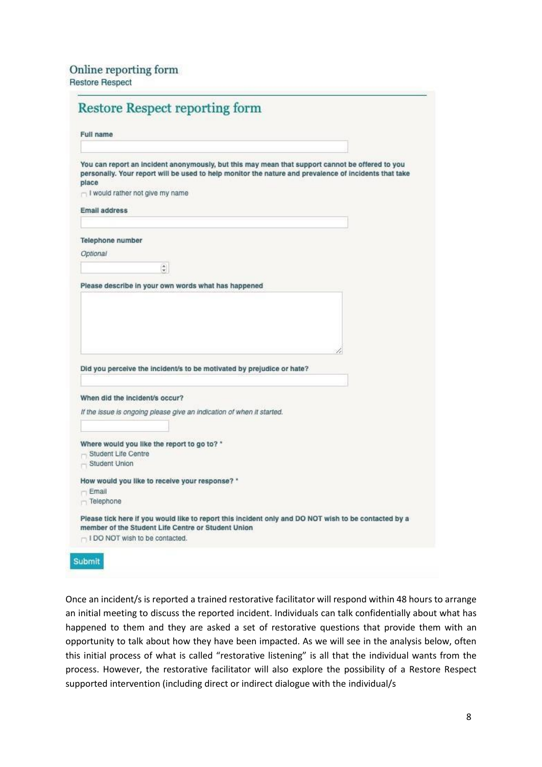| <b>Full name</b>                                                                                                                                                                                                                                                                                                                                                                                                                                                          |  |
|---------------------------------------------------------------------------------------------------------------------------------------------------------------------------------------------------------------------------------------------------------------------------------------------------------------------------------------------------------------------------------------------------------------------------------------------------------------------------|--|
| You can report an incident anonymously, but this may mean that support cannot be offered to you<br>personally. Your report will be used to help monitor the nature and prevalence of incidents that take<br>place<br>- I would rather not give my name                                                                                                                                                                                                                    |  |
| <b>Email address</b>                                                                                                                                                                                                                                                                                                                                                                                                                                                      |  |
|                                                                                                                                                                                                                                                                                                                                                                                                                                                                           |  |
| <b>Telephone number</b>                                                                                                                                                                                                                                                                                                                                                                                                                                                   |  |
| Optional                                                                                                                                                                                                                                                                                                                                                                                                                                                                  |  |
| $\overset{\mathtt{A}}{\mathtt{v}}$                                                                                                                                                                                                                                                                                                                                                                                                                                        |  |
| Please describe in your own words what has happened                                                                                                                                                                                                                                                                                                                                                                                                                       |  |
|                                                                                                                                                                                                                                                                                                                                                                                                                                                                           |  |
|                                                                                                                                                                                                                                                                                                                                                                                                                                                                           |  |
|                                                                                                                                                                                                                                                                                                                                                                                                                                                                           |  |
|                                                                                                                                                                                                                                                                                                                                                                                                                                                                           |  |
|                                                                                                                                                                                                                                                                                                                                                                                                                                                                           |  |
|                                                                                                                                                                                                                                                                                                                                                                                                                                                                           |  |
| Student Life Centre                                                                                                                                                                                                                                                                                                                                                                                                                                                       |  |
| Student Union                                                                                                                                                                                                                                                                                                                                                                                                                                                             |  |
|                                                                                                                                                                                                                                                                                                                                                                                                                                                                           |  |
|                                                                                                                                                                                                                                                                                                                                                                                                                                                                           |  |
|                                                                                                                                                                                                                                                                                                                                                                                                                                                                           |  |
| Did you perceive the incident/s to be motivated by prejudice or hate?<br>When did the incident/s occur?<br>If the issue is ongoing please give an indication of when it started.<br>Where would you like the report to go to? *<br>How would you like to receive your response? *<br>$-$ Email<br>Telephone<br>Please tick here if you would like to report this incident only and DO NOT wish to be contacted by a<br>member of the Student Life Centre or Student Union |  |

Once an incident/s is reported a trained restorative facilitator will respond within 48 hours to arrange an initial meeting to discuss the reported incident. Individuals can talk confidentially about what has happened to them and they are asked a set of restorative questions that provide them with an opportunity to talk about how they have been impacted. As we will see in the analysis below, often this initial process of what is called "restorative listening" is all that the individual wants from the process. However, the restorative facilitator will also explore the possibility of a Restore Respect supported intervention (including direct or indirect dialogue with the individual/s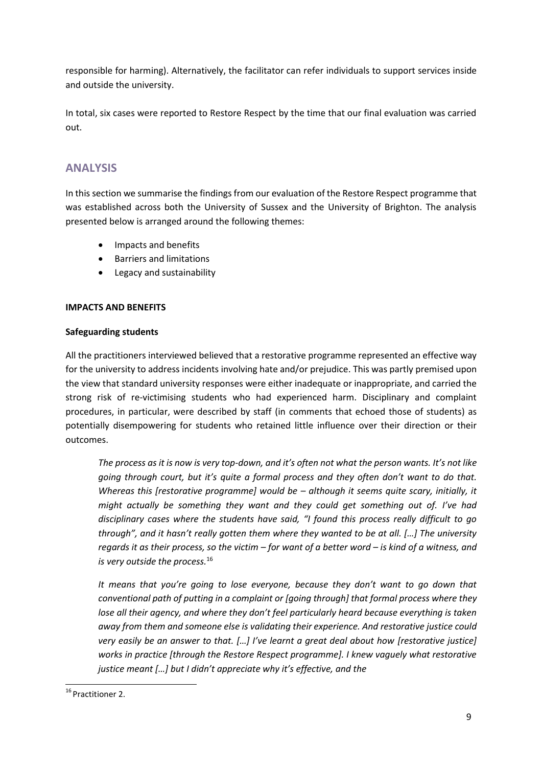responsible for harming). Alternatively, the facilitator can refer individuals to support services inside and outside the university.

In total, six cases were reported to Restore Respect by the time that our final evaluation was carried out.

# <span id="page-9-0"></span>**ANALYSIS**

In this section we summarise the findings from our evaluation of the Restore Respect programme that was established across both the University of Sussex and the University of Brighton. The analysis presented below is arranged around the following themes:

- Impacts and benefits
- Barriers and limitations
- Legacy and sustainability

#### <span id="page-9-1"></span>**IMPACTS AND BENEFITS**

#### <span id="page-9-2"></span>**Safeguarding students**

All the practitioners interviewed believed that a restorative programme represented an effective way for the university to address incidents involving hate and/or prejudice. This was partly premised upon the view that standard university responses were either inadequate or inappropriate, and carried the strong risk of re-victimising students who had experienced harm. Disciplinary and complaint procedures, in particular, were described by staff (in comments that echoed those of students) as potentially disempowering for students who retained little influence over their direction or their outcomes.

*The process as it is now is very top-down, and it's often not what the person wants. It's not like going through court, but it's quite a formal process and they often don't want to do that. Whereas this [restorative programme] would be – although it seems quite scary, initially, it might actually be something they want and they could get something out of. I've had disciplinary cases where the students have said, "I found this process really difficult to go through", and it hasn't really gotten them where they wanted to be at all. […] The university regards it as their process, so the victim – for want of a better word – is kind of a witness, and is very outside the process.*<sup>16</sup>

*It means that you're going to lose everyone, because they don't want to go down that conventional path of putting in a complaint or [going through] that formal process where they lose all their agency, and where they don't feel particularly heard because everything is taken away from them and someone else is validating their experience. And restorative justice could very easily be an answer to that. […] I've learnt a great deal about how [restorative justice] works in practice [through the Restore Respect programme]. I knew vaguely what restorative justice meant […] but I didn't appreciate why it's effective, and the*

<sup>&</sup>lt;sup>16</sup> Practitioner 2.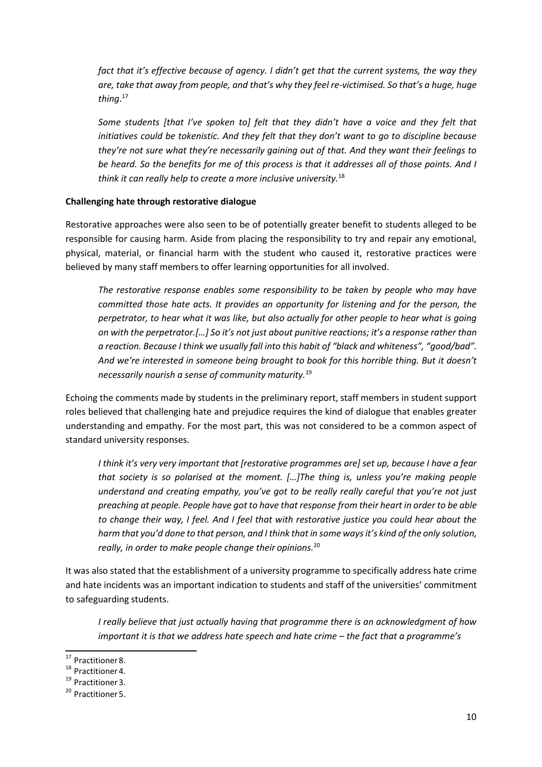*fact that it's effective because of agency. I didn't get that the current systems, the way they are, take that away from people, and that's why they feel re-victimised. So that's a huge, huge thing*. 17

*Some students [that I've spoken to] felt that they didn't have a voice and they felt that initiatives could be tokenistic. And they felt that they don't want to go to discipline because they're not sure what they're necessarily gaining out of that. And they want their feelings to be heard. So the benefits for me of this process is that it addresses all of those points. And I think it can really help to create a more inclusive university.*<sup>18</sup>

#### <span id="page-10-0"></span>**Challenging hate through restorative dialogue**

Restorative approaches were also seen to be of potentially greater benefit to students alleged to be responsible for causing harm. Aside from placing the responsibility to try and repair any emotional, physical, material, or financial harm with the student who caused it, restorative practices were believed by many staff members to offer learning opportunities for all involved.

*The restorative response enables some responsibility to be taken by people who may have committed those hate acts. It provides an opportunity for listening and for the person, the perpetrator, to hear what it was like, but also actually for other people to hear what is going on with the perpetrator.[…] So it's not just about punitive reactions; it's a response rather than a reaction. Because I think we usually fall into this habit of "black and whiteness", "good/bad". And we're interested in someone being brought to book for this horrible thing. But it doesn't necessarily nourish a sense of community maturity.*<sup>19</sup>

Echoing the comments made by students in the preliminary report, staff members in student support roles believed that challenging hate and prejudice requires the kind of dialogue that enables greater understanding and empathy. For the most part, this was not considered to be a common aspect of standard university responses.

*I think it's very very important that [restorative programmes are] set up, because I have a fear that society is so polarised at the moment. […]The thing is, unless you're making people understand and creating empathy, you've got to be really really careful that you're not just preaching at people. People have got to have that response from their heart in order to be able to change their way, I feel. And I feel that with restorative justice you could hear about the harm that you'd done to that person, and I think that in some ways it's kind of the only solution, really, in order to make people change their opinions.*<sup>20</sup>

It was also stated that the establishment of a university programme to specifically address hate crime and hate incidents was an important indication to students and staff of the universities' commitment to safeguarding students.

*I really believe that just actually having that programme there is an acknowledgment of how important it is that we address hate speech and hate crime – the fact that a programme's* 

<sup>&</sup>lt;sup>17</sup> Practitioner 8.

<sup>&</sup>lt;sup>18</sup> Practitioner 4.

<sup>&</sup>lt;sup>19</sup> Practitioner 3.

<sup>&</sup>lt;sup>20</sup> Practitioner 5.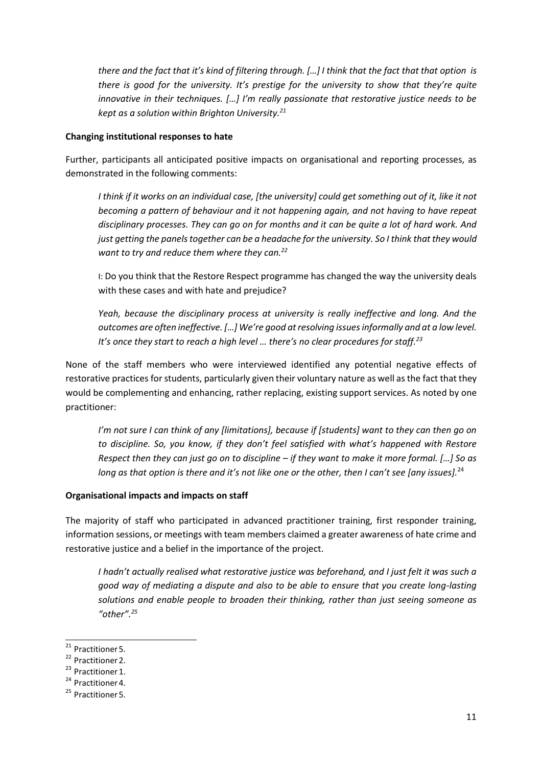*there and the fact that it's kind of filtering through. […] I think that the fact that that option is there is good for the university. It's prestige for the university to show that they're quite innovative in their techniques. […] I'm really passionate that restorative justice needs to be kept as a solution within Brighton University.<sup>21</sup>*

#### <span id="page-11-0"></span>**Changing institutional responses to hate**

Further, participants all anticipated positive impacts on organisational and reporting processes, as demonstrated in the following comments:

*I think if it works on an individual case, [the university] could get something out of it, like it not becoming a pattern of behaviour and it not happening again, and not having to have repeat disciplinary processes. They can go on for months and it can be quite a lot of hard work. And just getting the panels together can be a headache for the university. So I think that they would want to try and reduce them where they can.<sup>22</sup>*

I: Do you think that the Restore Respect programme has changed the way the university deals with these cases and with hate and prejudice?

*Yeah, because the disciplinary process at university is really ineffective and long. And the outcomes are often ineffective. […] We're good at resolving issues informally and at a low level. It's once they start to reach a high level … there's no clear procedures for staff.<sup>23</sup>*

None of the staff members who were interviewed identified any potential negative effects of restorative practices for students, particularly given their voluntary nature as well as the fact that they would be complementing and enhancing, rather replacing, existing support services. As noted by one practitioner:

*I'm not sure I can think of any [limitations], because if [students] want to they can then go on to discipline. So, you know, if they don't feel satisfied with what's happened with Restore Respect then they can just go on to discipline – if they want to make it more formal. […] So as long as that option is there and it's not like one or the other, then I can't see [any issues].*<sup>24</sup>

#### <span id="page-11-1"></span>**Organisational impacts and impacts on staff**

The majority of staff who participated in advanced practitioner training, first responder training, information sessions, or meetings with team members claimed a greater awareness of hate crime and restorative justice and a belief in the importance of the project.

*I hadn't actually realised what restorative justice was beforehand, and I just felt it was such a good way of mediating a dispute and also to be able to ensure that you create long-lasting solutions and enable people to broaden their thinking, rather than just seeing someone as "other".<sup>25</sup>*

 $21$  Practitioner 5.

<sup>&</sup>lt;sup>22</sup> Practitioner 2.

<sup>&</sup>lt;sup>23</sup> Practitioner 1.

<sup>&</sup>lt;sup>24</sup> Practitioner 4.

<sup>&</sup>lt;sup>25</sup> Practitioner 5.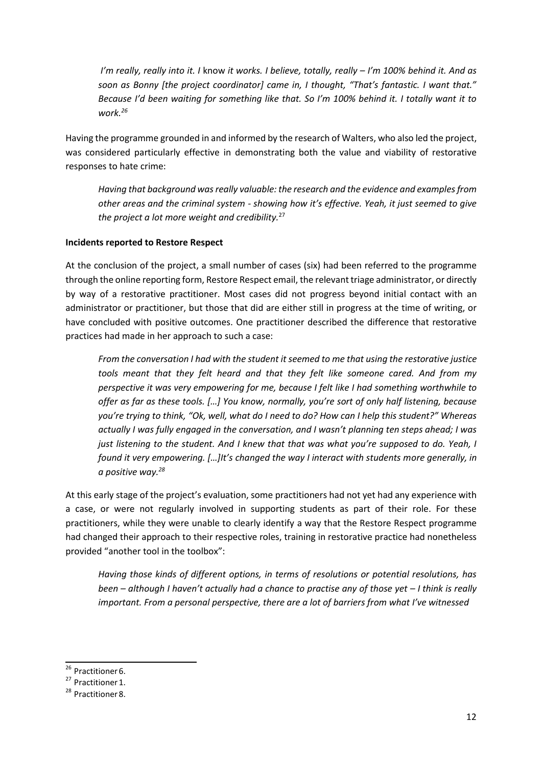*I'm really, really into it. I* know *it works. I believe, totally, really – I'm 100% behind it. And as soon as Bonny [the project coordinator] came in, I thought, "That's fantastic. I want that." Because I'd been waiting for something like that. So I'm 100% behind it. I totally want it to work.<sup>26</sup>*

Having the programme grounded in and informed by the research of Walters, who also led the project, was considered particularly effective in demonstrating both the value and viability of restorative responses to hate crime:

*Having that background was really valuable: the research and the evidence and examples from other areas and the criminal system - showing how it's effective. Yeah, it just seemed to give the project a lot more weight and credibility.*<sup>27</sup>

#### <span id="page-12-0"></span>**Incidents reported to Restore Respect**

At the conclusion of the project, a small number of cases (six) had been referred to the programme through the online reporting form, Restore Respect email, the relevant triage administrator, or directly by way of a restorative practitioner. Most cases did not progress beyond initial contact with an administrator or practitioner, but those that did are either still in progress at the time of writing, or have concluded with positive outcomes. One practitioner described the difference that restorative practices had made in her approach to such a case:

*From the conversation I had with the student it seemed to me that using the restorative justice tools meant that they felt heard and that they felt like someone cared. And from my perspective it was very empowering for me, because I felt like I had something worthwhile to offer as far as these tools. […] You know, normally, you're sort of only half listening, because you're trying to think, "Ok, well, what do I need to do? How can I help this student?" Whereas actually I was fully engaged in the conversation, and I wasn't planning ten steps ahead; I was just listening to the student. And I knew that that was what you're supposed to do. Yeah, I found it very empowering. […]It's changed the way I interact with students more generally, in a positive way.<sup>28</sup>*

At this early stage of the project's evaluation, some practitioners had not yet had any experience with a case, or were not regularly involved in supporting students as part of their role. For these practitioners, while they were unable to clearly identify a way that the Restore Respect programme had changed their approach to their respective roles, training in restorative practice had nonetheless provided "another tool in the toolbox":

*Having those kinds of different options, in terms of resolutions or potential resolutions, has been – although I haven't actually had a chance to practise any of those yet – I think is really important. From a personal perspective, there are a lot of barriers from what I've witnessed*

<sup>&</sup>lt;sup>26</sup> Practitioner 6.

<sup>&</sup>lt;sup>27</sup> Practitioner 1.

<sup>&</sup>lt;sup>28</sup> Practitioner 8.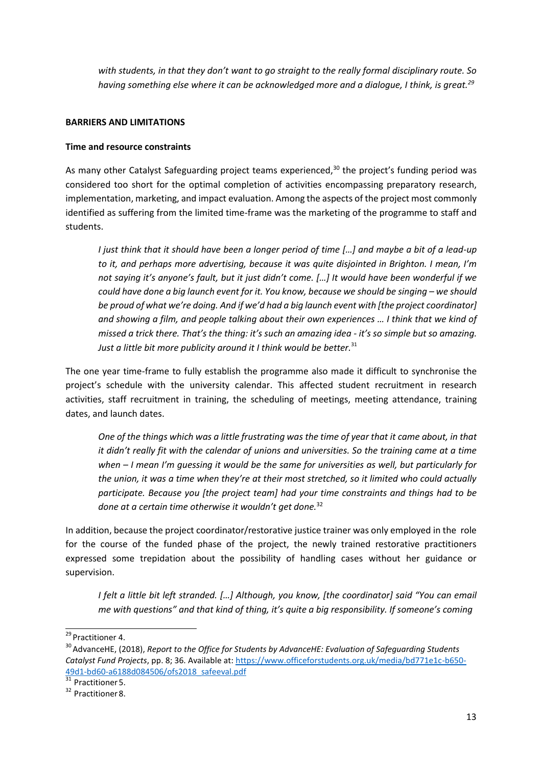*with students, in that they don't want to go straight to the really formal disciplinary route. So having something else where it can be acknowledged more and a dialogue, I think, is great.<sup>29</sup>*

#### <span id="page-13-0"></span>**BARRIERS AND LIMITATIONS**

#### <span id="page-13-1"></span>**Time and resource constraints**

As many other Catalyst Safeguarding project teams experienced,<sup>30</sup> the project's funding period was considered too short for the optimal completion of activities encompassing preparatory research, implementation, marketing, and impact evaluation. Among the aspects of the project most commonly identified as suffering from the limited time-frame was the marketing of the programme to staff and students.

*I just think that it should have been a longer period of time […] and maybe a bit of a lead-up to it, and perhaps more advertising, because it was quite disjointed in Brighton. I mean, I'm not saying it's anyone's fault, but it just didn't come. […] It would have been wonderful if we could have done a big launch event for it. You know, because we should be singing – we should be proud of what we're doing. And if we'd had a big launch event with [the project coordinator] and showing a film, and people talking about their own experiences … I think that we kind of missed a trick there. That's the thing: it's such an amazing idea - it's so simple but so amazing.* Just a little bit more publicity around it I think would be better.<sup>31</sup>

The one year time-frame to fully establish the programme also made it difficult to synchronise the project's schedule with the university calendar. This affected student recruitment in research activities, staff recruitment in training, the scheduling of meetings, meeting attendance, training dates, and launch dates.

*One of the things which was a little frustrating was the time of year that it came about, in that it didn't really fit with the calendar of unions and universities. So the training came at a time when – I mean I'm guessing it would be the same for universities as well, but particularly for the union, it was a time when they're at their most stretched, so it limited who could actually participate. Because you [the project team] had your time constraints and things had to be done at a certain time otherwise it wouldn't get done.*<sup>32</sup>

In addition, because the project coordinator/restorative justice trainer was only employed in the role for the course of the funded phase of the project, the newly trained restorative practitioners expressed some trepidation about the possibility of handling cases without her guidance or supervision.

*I felt a little bit left stranded. […] Although, you know, [the coordinator] said "You can email me with questions" and that kind of thing, it's quite a big responsibility. If someone's coming*

<sup>&</sup>lt;sup>29</sup> Practitioner 4.

<sup>&</sup>lt;sup>30</sup> AdvanceHE, (2018), *Report to the Office for Students by AdvanceHE: Evaluation of Safeguarding Students Catalyst Fund Projects*, pp. 8; 36. Available at: [https://www.officeforstudents.org.uk/media/bd771e1c-b650-](https://www.officeforstudents.org.uk/media/bd771e1c-b650-49d1-bd60-a6188d084506/ofs2018_safeeval.pdf) [49d1-bd60-a6188d084506/ofs2018\\_safeeval.pdf](https://www.officeforstudents.org.uk/media/bd771e1c-b650-49d1-bd60-a6188d084506/ofs2018_safeeval.pdf)

 $31$  Practitioner 5.

<sup>&</sup>lt;sup>32</sup> Practitioner 8.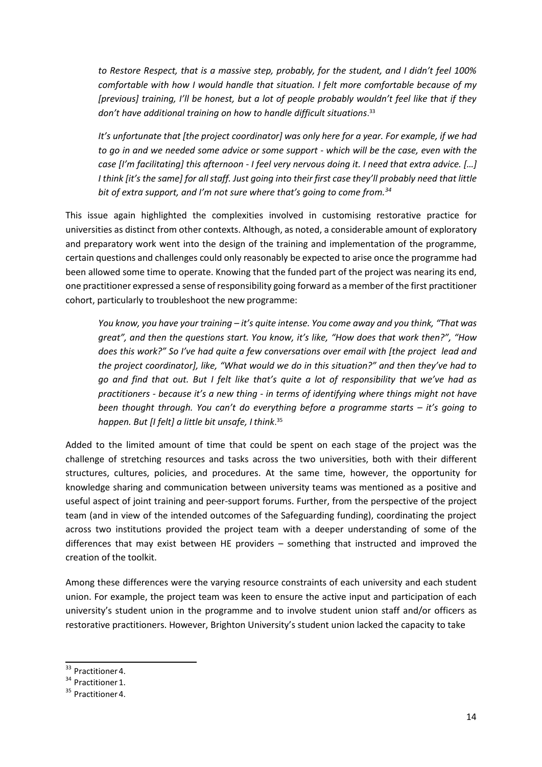*to Restore Respect, that is a massive step, probably, for the student, and I didn't feel 100% comfortable with how I would handle that situation. I felt more comfortable because of my [previous] training, I'll be honest, but a lot of people probably wouldn't feel like that if they don't have additional training on how to handle difficult situations*. 33

*It's unfortunate that [the project coordinator] was only here for a year. For example, if we had to go in and we needed some advice or some support - which will be the case, even with the case [I'm facilitating] this afternoon - I feel very nervous doing it. I need that extra advice. […] I think [it's the same] for all staff. Just going into their first case they'll probably need that little bit of extra support, and I'm not sure where that's going to come from.<sup>34</sup>*

This issue again highlighted the complexities involved in customising restorative practice for universities as distinct from other contexts. Although, as noted, a considerable amount of exploratory and preparatory work went into the design of the training and implementation of the programme, certain questions and challenges could only reasonably be expected to arise once the programme had been allowed some time to operate. Knowing that the funded part of the project was nearing its end, one practitioner expressed a sense of responsibility going forward as a member of the first practitioner cohort, particularly to troubleshoot the new programme:

*You know, you have your training – it's quite intense. You come away and you think, "That was great", and then the questions start. You know, it's like, "How does that work then?", "How does this work?" So I've had quite a few conversations over email with [the project lead and the project coordinator], like, "What would we do in this situation?" and then they've had to go and find that out. But I felt like that's quite a lot of responsibility that we've had as practitioners - because it's a new thing - in terms of identifying where things might not have been thought through. You can't do everything before a programme starts – it's going to happen. But [I felt] a little bit unsafe, I think*. 35

Added to the limited amount of time that could be spent on each stage of the project was the challenge of stretching resources and tasks across the two universities, both with their different structures, cultures, policies, and procedures. At the same time, however, the opportunity for knowledge sharing and communication between university teams was mentioned as a positive and useful aspect of joint training and peer-support forums. Further, from the perspective of the project team (and in view of the intended outcomes of the Safeguarding funding), coordinating the project across two institutions provided the project team with a deeper understanding of some of the differences that may exist between HE providers – something that instructed and improved the creation of the toolkit.

Among these differences were the varying resource constraints of each university and each student union. For example, the project team was keen to ensure the active input and participation of each university's student union in the programme and to involve student union staff and/or officers as restorative practitioners. However, Brighton University's student union lacked the capacity to take

<sup>&</sup>lt;sup>33</sup> Practitioner 4.

<sup>&</sup>lt;sup>34</sup> Practitioner 1.

<sup>&</sup>lt;sup>35</sup> Practitioner 4.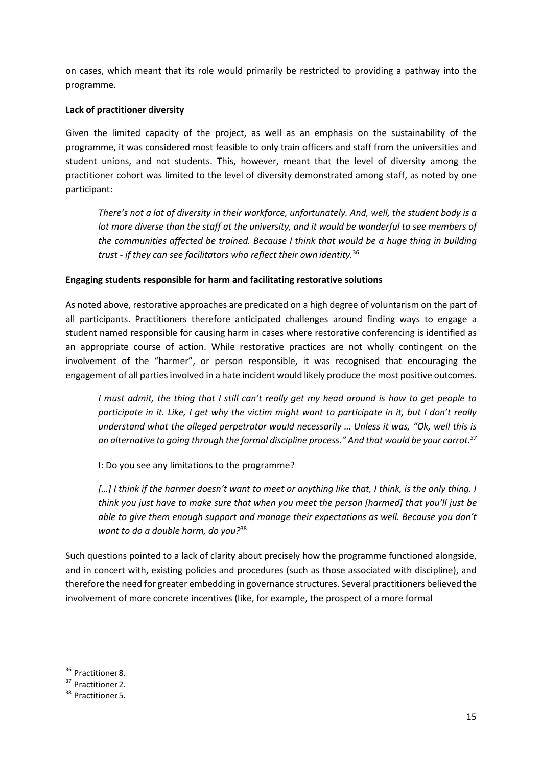on cases, which meant that its role would primarily be restricted to providing a pathway into the programme.

#### <span id="page-15-0"></span>**Lack of practitioner diversity**

Given the limited capacity of the project, as well as an emphasis on the sustainability of the programme, it was considered most feasible to only train officers and staff from the universities and student unions, and not students. This, however, meant that the level of diversity among the practitioner cohort was limited to the level of diversity demonstrated among staff, as noted by one participant:

*There's not a lot of diversity in their workforce, unfortunately. And, well, the student body is a lot more diverse than the staff at the university, and it would be wonderful to see members of the communities affected be trained. Because I think that would be a huge thing in building trust - if they can see facilitators who reflect their own identity.*<sup>36</sup>

#### <span id="page-15-1"></span>**Engaging students responsible for harm and facilitating restorative solutions**

As noted above, restorative approaches are predicated on a high degree of voluntarism on the part of all participants. Practitioners therefore anticipated challenges around finding ways to engage a student named responsible for causing harm in cases where restorative conferencing is identified as an appropriate course of action. While restorative practices are not wholly contingent on the involvement of the "harmer", or person responsible, it was recognised that encouraging the engagement of all parties involved in a hate incident would likely produce the most positive outcomes.

*I must admit, the thing that I still can't really get my head around is how to get people to participate in it. Like, I get why the victim might want to participate in it, but I don't really understand what the alleged perpetrator would necessarily … Unless it was, "Ok, well this is an alternative to going through the formal discipline process." And that would be your carrot.<sup>37</sup>*

I: Do you see any limitations to the programme?

*[…] I think if the harmer doesn't want to meet or anything like that, I think, is the only thing. I think you just have to make sure that when you meet the person [harmed] that you'll just be able to give them enough support and manage their expectations as well. Because you don't want to do a double harm, do you?*<sup>38</sup>

Such questions pointed to a lack of clarity about precisely how the programme functioned alongside, and in concert with, existing policies and procedures (such as those associated with discipline), and therefore the need for greater embedding in governance structures. Several practitioners believed the involvement of more concrete incentives (like, for example, the prospect of a more formal

<sup>&</sup>lt;sup>36</sup> Practitioner 8.

<sup>&</sup>lt;sup>37</sup> Practitioner 2.

<sup>&</sup>lt;sup>38</sup> Practitioner 5.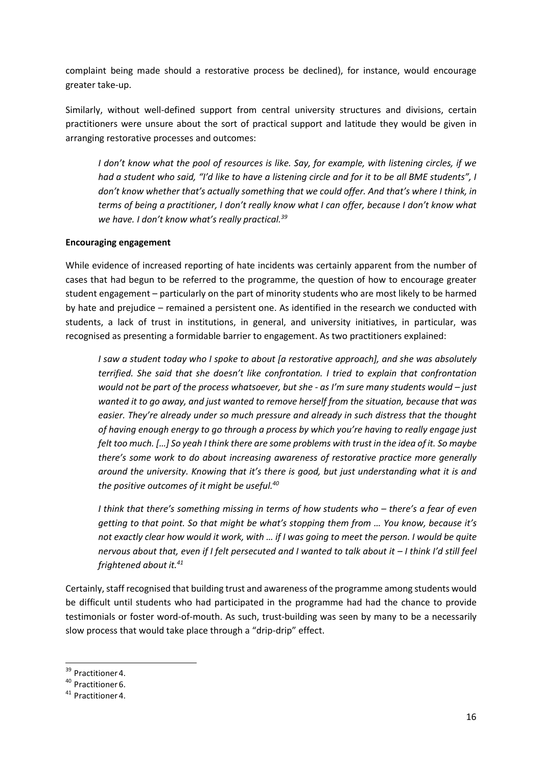complaint being made should a restorative process be declined), for instance, would encourage greater take-up.

Similarly, without well-defined support from central university structures and divisions, certain practitioners were unsure about the sort of practical support and latitude they would be given in arranging restorative processes and outcomes:

*I don't know what the pool of resources is like. Say, for example, with listening circles, if we had a student who said, "I'd like to have a listening circle and for it to be all BME students", I don't know whether that's actually something that we could offer. And that's where I think, in terms of being a practitioner, I don't really know what I can offer, because I don't know what we have. I don't know what's really practical.<sup>39</sup>*

#### <span id="page-16-0"></span>**Encouraging engagement**

While evidence of increased reporting of hate incidents was certainly apparent from the number of cases that had begun to be referred to the programme, the question of how to encourage greater student engagement – particularly on the part of minority students who are most likely to be harmed by hate and prejudice – remained a persistent one. As identified in the research we conducted with students, a lack of trust in institutions, in general, and university initiatives, in particular, was recognised as presenting a formidable barrier to engagement. As two practitioners explained:

*I saw a student today who I spoke to about [a restorative approach], and she was absolutely terrified. She said that she doesn't like confrontation. I tried to explain that confrontation would not be part of the process whatsoever, but she - as I'm sure many students would – just wanted it to go away, and just wanted to remove herself from the situation, because that was easier. They're already under so much pressure and already in such distress that the thought of having enough energy to go through a process by which you're having to really engage just felt too much. […] So yeah I think there are some problems with trust in the idea of it. So maybe there's some work to do about increasing awareness of restorative practice more generally around the university. Knowing that it's there is good, but just understanding what it is and the positive outcomes of it might be useful.<sup>40</sup>*

*I think that there's something missing in terms of how students who – there's a fear of even getting to that point. So that might be what's stopping them from … You know, because it's not exactly clear how would it work, with … if I was going to meet the person. I would be quite nervous about that, even if I felt persecuted and I wanted to talk about it – I think I'd still feel frightened about it.<sup>41</sup>*

Certainly, staff recognised that building trust and awareness of the programme among students would be difficult until students who had participated in the programme had had the chance to provide testimonials or foster word-of-mouth. As such, trust-building was seen by many to be a necessarily slow process that would take place through a "drip-drip" effect.

<sup>&</sup>lt;sup>39</sup> Practitioner 4.

<sup>&</sup>lt;sup>40</sup> Practitioner 6.

<sup>&</sup>lt;sup>41</sup> Practitioner 4.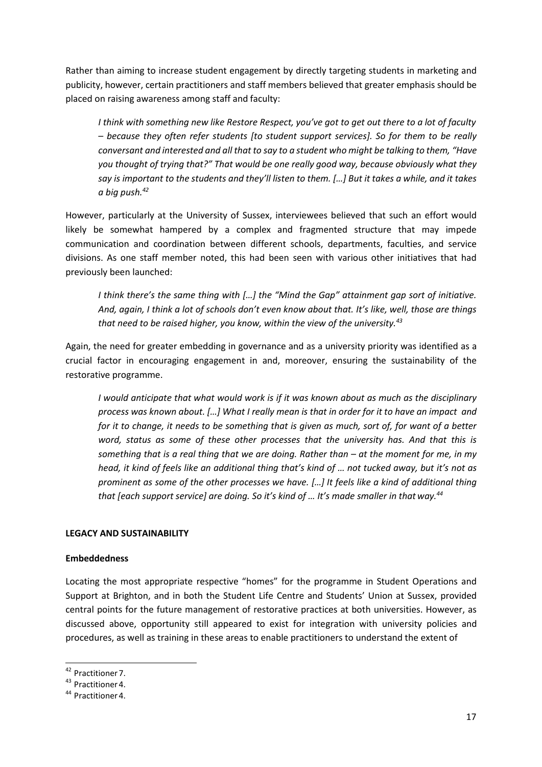Rather than aiming to increase student engagement by directly targeting students in marketing and publicity, however, certain practitioners and staff members believed that greater emphasis should be placed on raising awareness among staff and faculty:

*I think with something new like Restore Respect, you've got to get out there to a lot of faculty – because they often refer students [to student support services]. So for them to be really conversant and interested and all that to say to a student who might be talking to them, "Have you thought of trying that?" That would be one really good way, because obviously what they say is important to the students and they'll listen to them. […] But it takes a while, and it takes a big push.<sup>42</sup>*

However, particularly at the University of Sussex, interviewees believed that such an effort would likely be somewhat hampered by a complex and fragmented structure that may impede communication and coordination between different schools, departments, faculties, and service divisions. As one staff member noted, this had been seen with various other initiatives that had previously been launched:

*I think there's the same thing with […] the "Mind the Gap" attainment gap sort of initiative. And, again, I think a lot of schools don't even know about that. It's like, well, those are things that need to be raised higher, you know, within the view of the university.<sup>43</sup>*

Again, the need for greater embedding in governance and as a university priority was identified as a crucial factor in encouraging engagement in and, moreover, ensuring the sustainability of the restorative programme.

*I would anticipate that what would work is if it was known about as much as the disciplinary process was known about. […] What I really mean is that in order for it to have an impact and for it to change, it needs to be something that is given as much, sort of, for want of a better word, status as some of these other processes that the university has. And that this is something that is a real thing that we are doing. Rather than – at the moment for me, in my head, it kind of feels like an additional thing that's kind of … not tucked away, but it's not as prominent as some of the other processes we have. […] It feels like a kind of additional thing that [each support service] are doing. So it's kind of … It's made smaller in that way.<sup>44</sup>*

#### <span id="page-17-0"></span>**LEGACY AND SUSTAINABILITY**

#### <span id="page-17-1"></span>**Embeddedness**

Locating the most appropriate respective "homes" for the programme in Student Operations and Support at Brighton, and in both the Student Life Centre and Students' Union at Sussex, provided central points for the future management of restorative practices at both universities. However, as discussed above, opportunity still appeared to exist for integration with university policies and procedures, as well as training in these areas to enable practitioners to understand the extent of

<sup>&</sup>lt;sup>42</sup> Practitioner 7.

<sup>&</sup>lt;sup>43</sup> Practitioner 4.

<sup>&</sup>lt;sup>44</sup> Practitioner 4.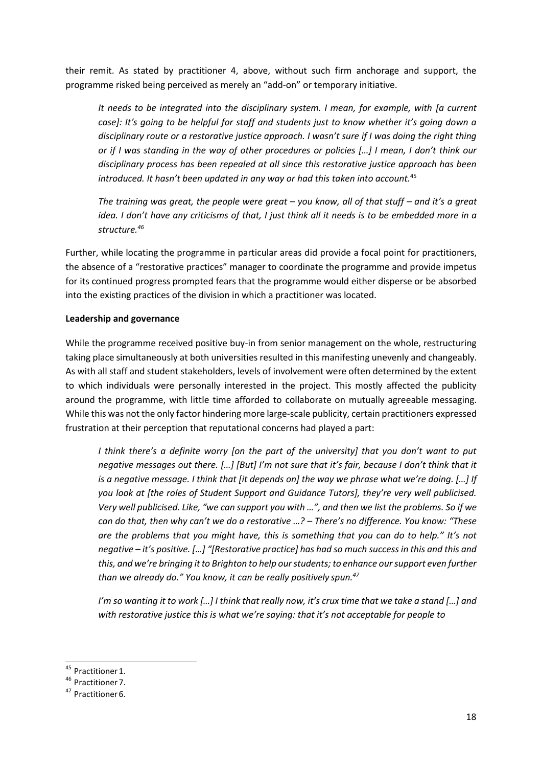their remit. As stated by practitioner 4, above, without such firm anchorage and support, the programme risked being perceived as merely an "add-on" or temporary initiative.

*It needs to be integrated into the disciplinary system. I mean, for example, with [a current case]: It's going to be helpful for staff and students just to know whether it's going down a disciplinary route or a restorative justice approach. I wasn't sure if I was doing the right thing or if I was standing in the way of other procedures or policies […] I mean, I don't think our disciplinary process has been repealed at all since this restorative justice approach has been introduced. It hasn't been updated in any way or had this taken into account.*<sup>45</sup>

*The training was great, the people were great – you know, all of that stuff – and it's a great idea. I don't have any criticisms of that, I just think all it needs is to be embedded more in a structure.<sup>46</sup>*

Further, while locating the programme in particular areas did provide a focal point for practitioners, the absence of a "restorative practices" manager to coordinate the programme and provide impetus for its continued progress prompted fears that the programme would either disperse or be absorbed into the existing practices of the division in which a practitioner was located.

#### <span id="page-18-0"></span>**Leadership and governance**

While the programme received positive buy-in from senior management on the whole, restructuring taking place simultaneously at both universities resulted in this manifesting unevenly and changeably. As with all staff and student stakeholders, levels of involvement were often determined by the extent to which individuals were personally interested in the project. This mostly affected the publicity around the programme, with little time afforded to collaborate on mutually agreeable messaging. While this was not the only factor hindering more large-scale publicity, certain practitioners expressed frustration at their perception that reputational concerns had played a part:

*I think there's a definite worry [on the part of the university] that you don't want to put negative messages out there. […] [But] I'm not sure that it's fair, because I don't think that it is a negative message. I think that [it depends on] the way we phrase what we're doing. […] If you look at [the roles of Student Support and Guidance Tutors], they're very well publicised. Very well publicised. Like, "we can support you with …", and then we list the problems. So if we can do that, then why can't we do a restorative …? – There's no difference. You know: "These are the problems that you might have, this is something that you can do to help." It's not negative – it's positive. […] "[Restorative practice] has had so much success in this and this and this, and we're bringing it to Brighton to help our students; to enhance our support even further than we already do." You know, it can be really positively spun.<sup>47</sup>*

*I'm so wanting it to work […] I think that really now, it's crux time that we take a stand […] and with restorative justice this is what we're saying: that it's not acceptable for people to*

<sup>&</sup>lt;sup>45</sup> Practitioner 1.

<sup>&</sup>lt;sup>46</sup> Practitioner 7.

<sup>&</sup>lt;sup>47</sup> Practitioner 6.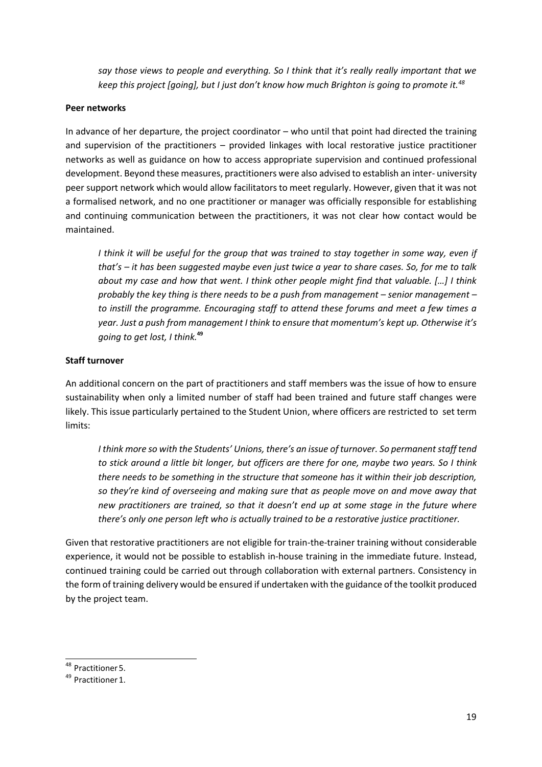*say those views to people and everything. So I think that it's really really important that we keep this project [going], but I just don't know how much Brighton is going to promote it.<sup>48</sup>*

#### <span id="page-19-0"></span>**Peer networks**

In advance of her departure, the project coordinator – who until that point had directed the training and supervision of the practitioners – provided linkages with local restorative justice practitioner networks as well as guidance on how to access appropriate supervision and continued professional development. Beyond these measures, practitioners were also advised to establish an inter- university peer support network which would allow facilitators to meet regularly. However, given that it was not a formalised network, and no one practitioner or manager was officially responsible for establishing and continuing communication between the practitioners, it was not clear how contact would be maintained.

*I think it will be useful for the group that was trained to stay together in some way, even if that's – it has been suggested maybe even just twice a year to share cases. So, for me to talk about my case and how that went. I think other people might find that valuable. […] I think probably the key thing is there needs to be a push from management – senior management – to instill the programme. Encouraging staff to attend these forums and meet a few times a year. Just a push from management I think to ensure that momentum's kept up. Otherwise it's going to get lost, I think.***<sup>49</sup>**

#### <span id="page-19-1"></span>**Staff turnover**

An additional concern on the part of practitioners and staff members was the issue of how to ensure sustainability when only a limited number of staff had been trained and future staff changes were likely. This issue particularly pertained to the Student Union, where officers are restricted to set term limits:

*I think more so with the Students' Unions, there's an issue of turnover. So permanent staff tend to stick around a little bit longer, but officers are there for one, maybe two years. So I think there needs to be something in the structure that someone has it within their job description, so they're kind of overseeing and making sure that as people move on and move away that new practitioners are trained, so that it doesn't end up at some stage in the future where there's only one person left who is actually trained to be a restorative justice practitioner.*

Given that restorative practitioners are not eligible for train-the-trainer training without considerable experience, it would not be possible to establish in-house training in the immediate future. Instead, continued training could be carried out through collaboration with external partners. Consistency in the form of training delivery would be ensured if undertaken with the guidance of the toolkit produced by the project team.

<sup>&</sup>lt;sup>48</sup> Practitioner 5.

<sup>&</sup>lt;sup>49</sup> Practitioner 1.